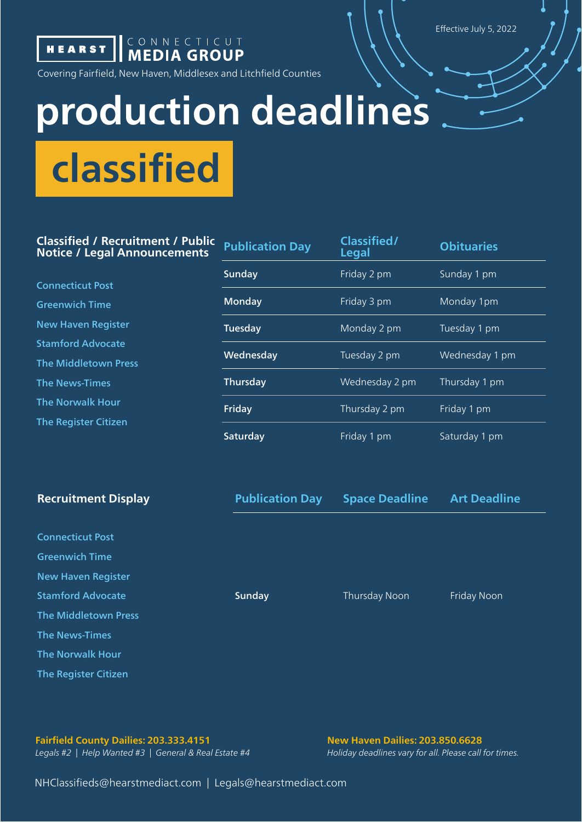Effective July 5, 2022



**HEARST | CONNECTICUT** 

Covering Fairfield, New Haven, Middlesex and Litchfield Counties

## **production deadlines**

**classified** 

## **Classified / Recruitment / Public Notice / Legal Announcements**

Connecticut Post Greenwich Time New Haven Register Stamford Advocate The Middletown Press The News-Times The Norwalk Hour The Register Citizen

| <b>Publication Day</b> | Classified/<br>Legal | <b>Obituaries</b> |
|------------------------|----------------------|-------------------|
| Sunday                 | Friday 2 pm          | Sunday 1 pm       |
| Monday                 | Friday 3 pm          | Monday 1pm        |
| Tuesday                | Monday 2 pm          | Tuesday 1 pm      |
| Wednesday              | Tuesday 2 pm         | Wednesday 1 pm    |
| Thursday               | Wednesday 2 pm       | Thursday 1 pm     |
| Friday                 | Thursday 2 pm        | Friday 1 pm       |
| Saturday               | Friday 1 pm          | Saturday 1 pm     |

| <b>Recruitment Display</b> | <b>Publication Day</b> | <b>Space Deadline</b> | <b>Art Deadline</b> |
|----------------------------|------------------------|-----------------------|---------------------|
|                            |                        |                       |                     |
| <b>Connecticut Post</b>    |                        |                       |                     |
| <b>Greenwich Time</b>      |                        |                       |                     |
| <b>New Haven Register</b>  |                        |                       |                     |
| <b>Stamford Advocate</b>   | Sunday                 | Thursday Noon         | Friday Noon         |
| The Middletown Press       |                        |                       |                     |
| <b>The News-Times</b>      |                        |                       |                     |
| <b>The Norwalk Hour</b>    |                        |                       |                     |
| The Register Citizen       |                        |                       |                     |

## **Fairfield County Dailies: 203.333.4151 New Haven Dailies: 203.850.6628**

*Legals #2 | Help Wanted #3 | General & Real Estate #4 Holiday deadlines vary for all. Please call for times.*